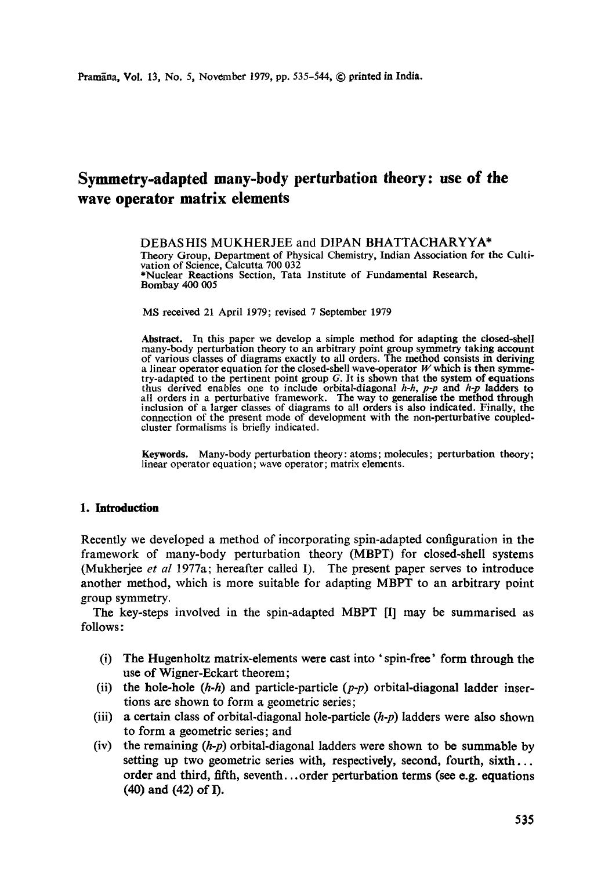# **Symmetry-adapted many-body perturbation theory: use of the wave operator matrix elements**

DEBASHIS MUKHERJEE and DIPAN BHATTACHARYYA\* Theory Group, Department of Physical Chemistry, Indian Association for the Cultivation of Science, Calcutta 700 032 \*Nuclear Reactions Section, Tara Institute of Fundamental Research, Bombay 400 005

MS received 21 April 1979; revised 7 September 1979

Abstract. In this paper we develop a simple method for adapting the closed-shell many-body perturbation theory to an arbitrary point group symmetry taking account of various classes of diagrams exactly to all orders. The method consists in deriving a linear operator equation for the closed-shell wave-operator  $W$  which is then symmetry-adapted to the pertinent point group G. It is shown that the system of equations thus derived enables one to include orbital-diagonal *h-h, p-p* and *h-p* ladders to all orders in a perturbative framework. The way to generalise the method through inclusion of a larger classes of diagrams to all orders is also indicated. Finally, the connection of the present mode of development with the non-perturbative coupledcluster formalisms is briefly indicated.

**Keywords.** Many-body perturbation theory: atoms; molecules; perturbation theory; linear operator equation; wave operator; matrix elements.

## **1. Introduction**

Recently we developed a method of incorporating spin-adapted configuration in the framework of many-body perturbation theory (MBPT) for closed-shell systems (Mukherjee *et al* 1977a; hereafter called 1). The present paper serves to introduce another method, which is more suitable for adapting MBPT to an arbitrary point group symmetry.

The key-steps involved in the spin-adapted MBPT [I] may be summarised as follows:

- (i) The Hugenholtz matrix-elements were cast into ' spin-free' form through the use of Wigner-Eckart theorem;
- (ii) the hole-hole  $(h-h)$  and particle-particle  $(p-p)$  orbital-diagonal ladder insertions are shown to form a geometric series;
- (iii) a certain class of orbital-diagonal hole-particle *(h-p)* ladders were also shown to form a geometric series; and
- (iv) the remaining *(h-p)* orbital-diagonal ladders were shown to be summable by setting up two geometric series with, respectively, second, fourth, sixth... order and third, fifth, seventh.., order perturbation terms (see e.g. equations **(40) and (42) of I).**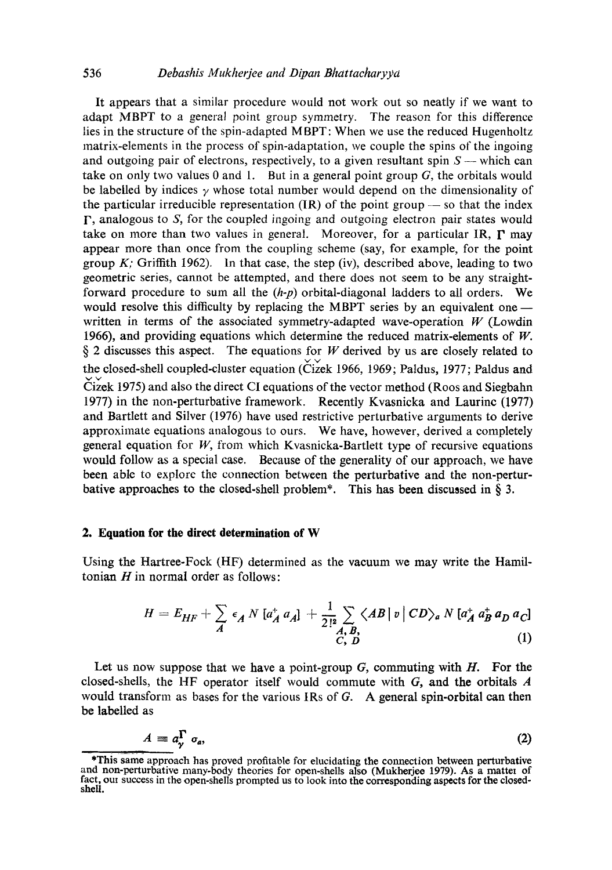It appears that a similar procedure would not work out so neatly if we want to adapt MBPT to a general point group symmetry. The reason for this difference lies in the structure of the spin-adapted M BPT: When we use the reduced Hugenholtz matrix-elements in the process of spin-adaptation, we couple the spins of the ingoing and outgoing pair of electrons, respectively, to a given resultant spin  $S$  -- which can take on only two values 0 and 1. But in a general point group  $G$ , the orbitals would be labelled by indices  $\gamma$  whose total number would depend on the dimensionality of the particular irreducible representation  $(IR)$  of the point group  $-$  so that the index F, analogous to S, for the coupled ingoing and outgoing electron pair states would take on more than two values in general. Moreover, for a particular IR,  $\Gamma$  may appear more than once from the coupling scheme (say, for example, for the point group K; Griffith 1962). In that case, the step (iv), described above, leading to two geometric series, cannot be attempted, and there does not seem to be any straightforward procedure to sum all the *(h-p)* orbital-diagonal ladders to all orders. We would resolve this difficulty by replacing the MBPT series by an equivalent one written in terms of the associated symmetry-adapted wave-operation  $W$  (Lowdin 1966), and providing equations which determine the reduced matrix-elements of  $W$ .  $\S$  2 discusses this aspect. The equations for W derived by us are closely related to the closed-shell coupled-cluster equation (Cizek 1966, 1969; Paldus, 1977; Paldus and  $\check{\text{Cize}}$ k 1975) and also the direct CI equations of the vector method (Roos and Siegbahn 1977) in the non-perturbative framework. Recently Kvasnicka and Laurinc (1977) and Bartlett and Silver (1976) have used restrictive perturbative arguments to derive approximate equations analogous to ours. We have, however, derived a completely general equation for  $W$ , from which Kvasnicka-Bartlett type of recursive equations would follow as a special case. Because of the generality of our approach, we have been able to explorc the connection between the perturbative and the non-perturbative approaches to the closed-shell problem\*. This has been discussed in § 3.

## **2. Equation for the direct determination of W**

Using the Haxtree-Fock (HF) determined as the vacuum we may write the Hamiltonian  $H$  in normal order as follows:

$$
H = E_{HF} + \sum_{A} \epsilon_A N \left[ a_A^{\dagger} a_A \right] + \frac{1}{2!^2} \sum_{\substack{A, B, \\ C, D}} \langle AB \, | \, v \, | \, CD \rangle_a N \left[ a_A^{\dagger} a_B^{\dagger} a_D a_C \right] \tag{1}
$$

Let us now suppose that we have a point-group *G,* commuting with H. For the closed-shells, the HF operator itself would commute with  $G$ , and the orbitals  $\vec{A}$ would transform as bases for the various IRs of G. A general spin-orbital can then be labelled as

$$
A \equiv a_{\gamma}^{\Gamma} \sigma_a, \tag{2}
$$

<sup>\*</sup>This same approach has proved profitable for elucidating the connection between perturbative and non-perturbative many-body theories for open-shells also (Mukherjee 1979). As a matter of fact, our success in the open-shells prompted us to look into the corresponding aspects for the closedshell.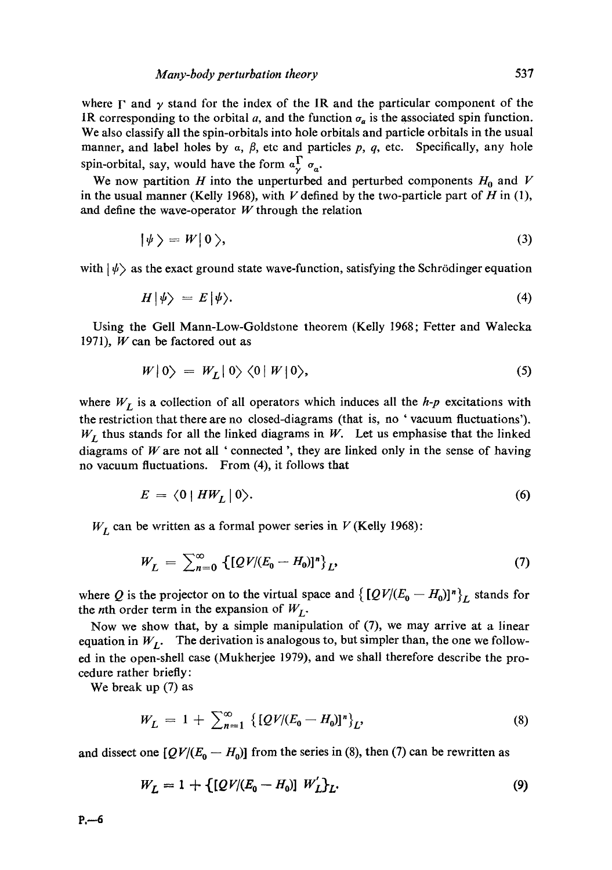where  $\Gamma$  and  $\gamma$  stand for the index of the IR and the particular component of the IR corresponding to the orbital a, and the function  $\sigma_a$  is the associated spin function. We also classify all the spin-orbitals into hole orbitals and particle orbitals in the usual manner, and label holes by  $\alpha$ ,  $\beta$ , etc and particles p, q, etc. Specifically, any hole spin-orbital, say, would have the form  $a_x^{\Gamma} a_x$ .

We now partition H into the unperturbed and perturbed components  $H_0$  and V in the usual manner (Kelly 1968), with  $V$  defined by the two-particle part of  $H$  in (1), and define the wave-operator  $W$  through the relation

$$
|\psi\rangle = W|0\rangle, \tag{3}
$$

with  $|\psi\rangle$  as the exact ground state wave-function, satisfying the Schrödinger equation

$$
H|\psi\rangle = E|\psi\rangle. \tag{4}
$$

Using the Gell Mann-Low-Goldstone theorem (Kelly 1968; Fetter and Walecka 1971),  $W$  can be factored out as

$$
W|0\rangle = W_L|0\rangle\langle 0|W|0\rangle, \tag{5}
$$

where  $W_L$  is a collection of all operators which induces all the  $h$ -p excitations with the restriction that there are no dosed-diagrams (that is, no ' vacuum fluctuations').  $W_L$  thus stands for all the linked diagrams in W. Let us emphasise that the linked diagrams of  $W$  are not all ' connected ', they are linked only in the sense of having no vacuum fluctuations. From (4), it follows that

$$
E = \langle 0 | HW_L | 0 \rangle. \tag{6}
$$

 $W_L$  can be written as a formal power series in  $V$  (Kelly 1968):

$$
W_L = \sum_{n=0}^{\infty} \left\{ [QV/(E_0 - H_0)]^n \right\}_L,
$$
\n(7)

where Q is the projector on to the virtual space and  $\{[QV/(E_0 - H_0)]^n\}_{L}$  stands for the *n*th order term in the expansion of  $W_L$ .

Now we show that, by a simple manipulation of (7), we may arrive at a linear equation in  $W_I$ . The derivation is analogous to, but simpler than, the one we followed in the open-shell case (Mukherjee 1979), and we shall therefore describe the procedure rather briefly:

We break up (7) as

$$
W_L = 1 + \sum_{n=1}^{\infty} \left\{ [QV/(E_0 - H_0)]^n \right\}_L,
$$
\n(8)

and dissect one  $[QV/(E_0 - H_0)]$  from the series in (8), then (7) can be rewritten as

$$
W_L = 1 + \{ [QV/(E_0 - H_0)] \ W'_L \}_L.
$$
\n(9)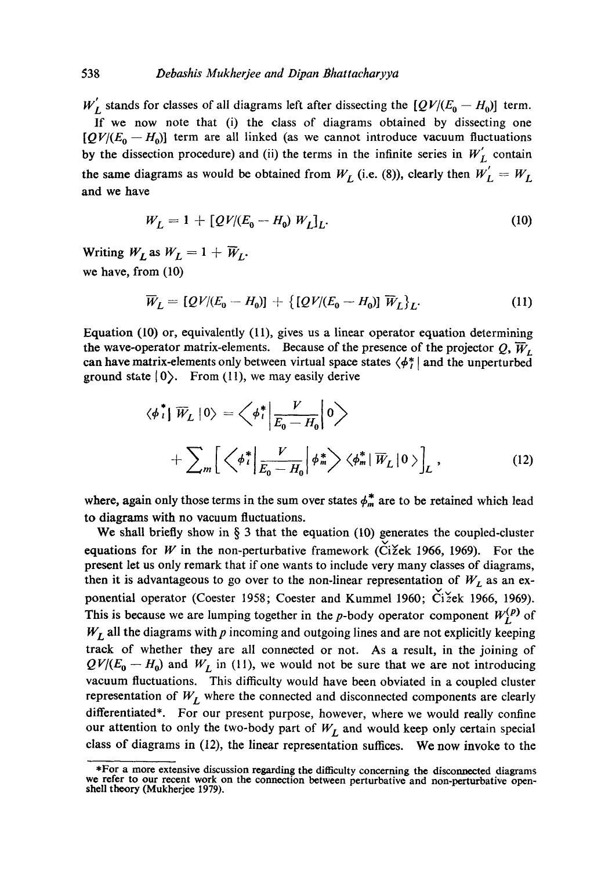## 538 *Debashis Mukherjee and Dipan Bhattacharyya*

 $W'_I$  stands for classes of all diagrams left after dissecting the  $[QV/(E_0 - H_0)]$  term. If we now note that (i) the class of diagrams obtained by dissecting one  $[QV/(E_0 - H_0)]$  term are all linked (as we cannot introduce vacuum fluctuations by the dissection procedure) and (ii) the terms in the infinite series in  $W'_L$  contain the same diagrams as would be obtained from  $W_L$  (i.e. (8)), clearly then  $W_L' = W_L$ and we have

$$
W_L = 1 + [QV/(E_0 - H_0) W_L]_L.
$$
 (10)

Writing  $W_L$  as  $W_L = 1 + \overline{W}_L$ . we have, from (10)

$$
\overline{W}_L = [QV/(E_0 - H_0)] + \{ [QV/(E_0 - H_0)] \overline{W}_L \}_L.
$$
\n(11)

Equation (10) or, equivalently (11), gives us a linear operator equation determining the wave-operator matrix-elements. Because of the presence of the projector Q,  $\overline{W}_L$ can have matrix-elements only between virtual space states  $\langle \phi_i^* |$  and the unperturbed ground state  $|0\rangle$ . From (11), we may easily derive

$$
\langle \phi_i^* | \overline{W}_L | 0 \rangle = \left\langle \phi_i^* | \frac{V}{E_0 - H_0} | 0 \right\rangle
$$
  
+ 
$$
\sum_m \left[ \left\langle \phi_i^* | \frac{V}{E_0 - H_0} | \phi_m^* \right\rangle \left\langle \phi_m^* | \overline{W}_L | 0 \right\rangle \right]_L,
$$
 (12)

where, again only those terms in the sum over states  $\phi_m^*$  are to be retained which lead to diagrams with no vacuum fluctuations.

We shall briefly show in § 3 that the equation (10) generates the coupled-cluster equations for W in the non-perturbative framework (Cižek 1966, 1969). For the present let us only remark that if one wants to include very many classes of diagrams, then it is advantageous to go over to the non-linear representation of  $W_L$  as an exponential operator (Coester 1958; Coester and Kummel 1960; Čižek 1966, 1969). This is because we are lumping together in the p-body operator component  $W_L^{(p)}$  of  $W_L$  all the diagrams with  $p$  incoming and outgoing lines and are not explicitly keeping track of whether they are all connected or not. As a result, in the joining of  $QV/(E_0 - H_0)$  and  $W_L$  in (11), we would not be sure that we are not introducing vacuum fluctuations. This difficulty would have been obviated in a coupled cluster representation of  $W_L$  where the connected and disconnected components are clearly differentiated\*. For our present purpose, however, where we would really confine our attention to only the two-body part of  $W_L$  and would keep only certain special class of diagrams in (12), the linear representation suffices. We now invoke to the

<sup>\*</sup>For a more extensive discussion regarding the difficulty concerning the disconnected diagrams we refer to our recent work on the connection between perturbative and non-perturbative openshell theory (Mukherjee 1979).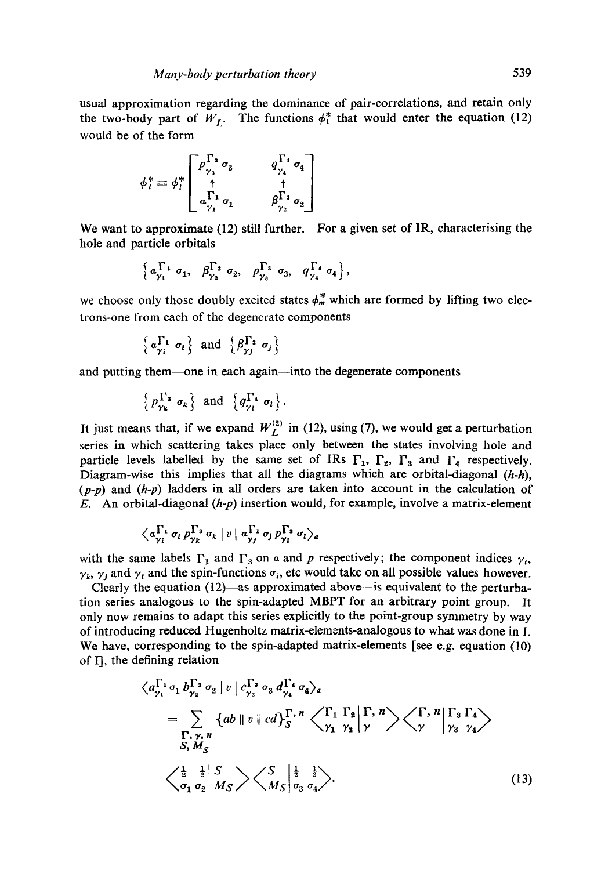usual approximation regarding the dominance of pair-correlations, and retain only the two-body part of  $W_L$ . The functions  $\phi_i^*$  that would enter the equation (12) would be of the form

$$
\phi_i^* \equiv \phi_i^* \begin{bmatrix} p_{\gamma_3}^{\Gamma_3} \sigma_3 & q_{\gamma_4}^{\Gamma_4} \sigma_4 \\ \uparrow & \uparrow \\ a_{\gamma_1}^{\Gamma_1} \sigma_1 & \beta_{\gamma_2}^{\Gamma_2} \sigma_2 \end{bmatrix}
$$

We want to approximate (12) still further. For a given set of IR, characterising the hole and particle orbitals

$$
\left\{ \, a_{\gamma_1}^{\, \Gamma_1} \, \sigma_1, \, \beta_{\gamma_2}^{\, \Gamma_2} \, \sigma_2, \, p_{\gamma_3}^{\, \Gamma_3} \, \sigma_3, \, q_{\gamma_4}^{\, \Gamma_4} \, \sigma_4 \, \right\},
$$

we choose only those doubly excited states  $\phi_m^*$  which are formed by lifting two electrons-one from each of the degenerate components

$$
\left\{ \alpha_{\gamma i}^{\Gamma_1} \ \sigma_i \right\} \ \text{and} \ \left\{ \beta_{\gamma j}^{\Gamma_2} \ \sigma_j \right\}
$$

and putting them—one in each again—into the degenerate components

$$
\left\{\,p_{\gamma_k}^{\,\Gamma_3}\,\,\sigma_k\,\right\}\,\,\text{and}\,\,\left\{\,q_{\gamma_l}^{\,\Gamma_4}\,\,\sigma_l\,\right\}.
$$

It just means that, if we expand  $W_L^{(2)}$  in (12), using (7), we would get a perturbation series in which scattering takes place only between the states involving hole and particle levels labelled by the same set of IRs  $\Gamma_1$ ,  $\Gamma_2$ ,  $\Gamma_3$  and  $\Gamma_4$  respectively. Diagram-wise this implies that all the diagrams which are orbital-diagonal *(h-h), (p-p)* and *(h-p)* ladders in all orders are taken into account in the calculation of E. An orbital-diagonal *(h-p)* insertion would, for example, involve a matrix-element

$$
\langle a_{\gamma_i}^{\Gamma_1} \sigma_i p_{\gamma_k}^{\Gamma_3} \sigma_k |v| a_{\gamma_j}^{\Gamma_1} \sigma_j p_{\gamma_i}^{\Gamma_3} \sigma_i \rangle_a
$$

with the same labels  $\Gamma_1$  and  $\Gamma_3$  on a and p respectively; the component indices  $\gamma_i$ ,  $\gamma_k$ ,  $\gamma_j$  and  $\gamma_l$  and the spin-functions  $\sigma_i$ , etc would take on all possible values however.

Clearly the equation  $(12)$ —as approximated above—is equivalent to the perturbation series analogous to the spin-adapted MBPT for an arbitrary point group. It only now remains to adapt this series explicitly to the point-group symmetry by way of introducing reduced Hugenholtz matrix-elements-analogous to what was done in I. We have, corresponding to the spin-adapted matrix-elements [see e.g. equation (10) of I], the defining relation

$$
\langle a_{\gamma_1}^{\Gamma_1} \sigma_1 b_{\gamma_2}^{\Gamma_2} \sigma_2 \mid v \mid c_{\gamma_3}^{\Gamma_3} \sigma_3 d_{\gamma_4}^{\Gamma_4} \sigma_4 \rangle_a
$$
  
\n
$$
= \sum_{\Gamma_1 \gamma, n} \{ab \mid v \mid cd\}^{\Gamma, n}_{S} \langle \bigwedge_{\gamma_1}^{\Gamma_1} \bigwedge_{\gamma_2}^{\Gamma_2} \bigwedge_{\gamma_3}^{\Gamma, n} \rangle \langle \bigwedge_{\gamma_4}^{\Gamma, n} \bigwedge_{\gamma_5}^{\Gamma_3} \bigwedge_{\gamma_4}^{\Gamma_4} \rangle
$$
  
\n
$$
\langle \frac{1}{2} \quad \frac{1}{2} \bigg| \frac{S}{M_S} \rangle \langle \bigwedge_{\gamma_5}^S \bigg| \frac{1}{2} \quad \frac{1}{2} \rangle . \tag{13}
$$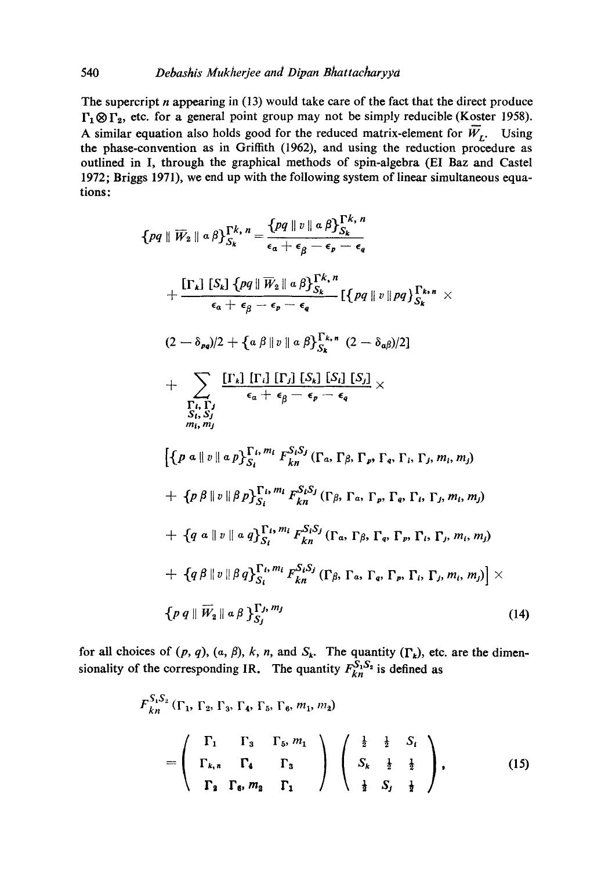The supercript  $n$  appearing in (13) would take care of the fact that the direct produce  $\Gamma_1 \otimes \Gamma_2$ , etc. for a general point group may not be simply reducible (Koster 1958). A similar equation also holds good for the reduced matrix-element for  $\overline{W}_r$ . Using the phase-convention as in Griffith (1962), and using the reduction procedure as outlined in I, through the graphical methods of spin-algebra (EI Baz and Castel 1972; Briggs 1971), we end up with the following system of linear simultaneous equations:

$$
\{pq \parallel \overline{W}_{2} \parallel a\beta\}_{S_{k}}^{\Gamma_{k}, n} = \frac{\{pq \parallel v \parallel a\beta\}_{S_{k}}^{\Gamma_{k}, n}}{\epsilon_{a} + \epsilon_{\beta} - \epsilon_{p} - \epsilon_{q}}
$$
\n
$$
+ \frac{\left[\Gamma_{k}\right] \left[S_{k}\right] \left\{pq \parallel \overline{W}_{2} \parallel a\beta\}_{S_{k}}^{\Gamma_{k}, n}}{\epsilon_{a} + \epsilon_{\beta} - \epsilon_{p} - \epsilon_{q}} \left[\left\{pq \parallel v \parallel pq\right\}_{S_{k}}^{\Gamma_{k}, n} \right.\right.\}
$$
\n
$$
(2 - \delta_{pq})/2 + \left\{a\beta \parallel v \parallel a\beta\}_{S_{k}}^{\Gamma_{k}, n} (2 - \delta_{q\beta})/2\right]
$$
\n
$$
+ \sum_{\substack{\Gamma_{i}, \Gamma_{j} \\ S_{i}, S_{j}}} \frac{\left[\Gamma_{k}\right] \left[\Gamma_{i}\right] \left[\Gamma_{j}\right] \left[S_{k}\right] \left[S_{j}\right]}{\epsilon_{a} + \epsilon_{\beta} - \epsilon_{p} - \epsilon_{q}} \times
$$
\n
$$
\left\{\left\{p\ a \parallel v \parallel a\beta\right\}_{S_{i}}^{\Gamma_{k}, m_{i}} F_{k n}^{S_{i} S_{j}} (\Gamma_{a}, \Gamma_{\beta}, \Gamma_{p}, \Gamma_{q}, \Gamma_{i}, \Gamma_{j}, m_{i}, m_{j})\right.\right.
$$
\n
$$
+ \left\{p\ \beta \parallel v \parallel \beta p\right\}_{S_{i}}^{\Gamma_{i}, m_{i}} F_{k n}^{S_{i} S_{j}} (\Gamma_{\beta}, \Gamma_{a}, \Gamma_{p}, \Gamma_{a}, \Gamma_{i}, \Gamma_{j}, m_{i}, m_{j})
$$
\n
$$
+ \left\{q\ a \parallel v \parallel a\beta\right\}_{S_{i}}^{\Gamma_{i}, m_{i}} F_{k n}^{S_{i} S_{j}} (\Gamma_{a}, \Gamma_{\beta}, \Gamma_{q}, \Gamma_{p}, \Gamma_{i}, \Gamma_{j}, m_{i}, m_{j})
$$
\n
$$
+ \left\{q\ a \parallel v \parallel a\beta\right\}_{S_{i}}^{\Gamma_{i}, m_{i}} F_{k n}^{S_{i} S_{j}} (\Gamma_{a}, \Gamma_{\beta}, \Gamma_{q}, \Gamma_{p}, \Gamma_{i}, \Gamma_{j
$$

for all choices of  $(p, q)$ ,  $(a, \beta)$ , k, n, and  $S_k$ . The quantity  $(\Gamma_k)$ , etc. are the dimensionality of the corresponding IR. The quantity  $F_{kn}^{S_1S_2}$  is defined as

$$
F_{kn}^{S_1S_2}(\Gamma_1, \Gamma_2, \Gamma_3, \Gamma_4, \Gamma_5, \Gamma_6, m_1, m_2)
$$
  
= 
$$
\begin{pmatrix} \Gamma_1 & \Gamma_3 & \Gamma_5 & m_1 \\ \Gamma_{k,n} & \Gamma_4 & \Gamma_3 \\ \Gamma_2 & \Gamma_6 & m_2 & \Gamma_1 \end{pmatrix} \begin{pmatrix} \frac{1}{2} & \frac{1}{2} & S_i \\ S_k & \frac{1}{2} & \frac{1}{2} \\ \frac{1}{2} & S_j & \frac{1}{2} \end{pmatrix},
$$
(15)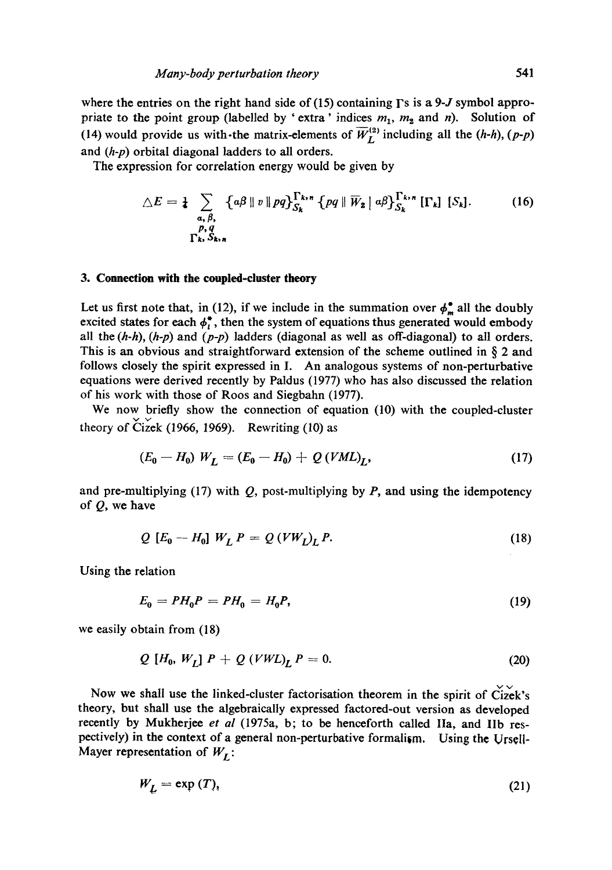where the entries on the right hand side of (15) containing  $\Gamma$ s is a 9-J symbol appropriate to the point group (labelled by 'extra' indices  $m_1$ ,  $m_2$  and n). Solution of (14) would provide us with-the matrix-elements of  $\overline{W}_{L}^{(2)}$  including all the  $(h-h)$ ,  $(p-p)$ and *(h-p)* orbital diagonal ladders to all orders.

The expression for correlation energy would be given by

$$
\triangle E = \frac{1}{4} \sum_{\substack{a, \beta, \\ p, q}} \left\{ a\beta \parallel v \parallel pq \right\}_{S_k}^{\Gamma_{k,n}} \left\{ pq \parallel \overline{W}_2 \mid a\beta \right\}_{S_k}^{\Gamma_{k,n}} [\Gamma_k] [\S_k]. \tag{16}
$$

## **3. Connection with the coupled-cluster theory**

Let us first note that, in (12), if we include in the summation over  $\phi_m^*$  all the doubly excited states for each  $\phi_t^*$ , then the system of equations thus generated would embody all the *(h-h), (h-p)* and *(p-p)* ladders (diagonal as well as off-diagonal) to all orders. This is an obvious and straightforward extension of the scheme outlined in  $\S$  2 and follows closely the spirit expressed in I. An analogous systems of non-perturbative equations were derived recently by Paldus (1977) who has also discussed the relation of his work with those of Roos and Siegbahn (1977).

We now briefly show the connection of equation (10) with the coupled-cluster theory of  $\text{Cizek}$  (1966, 1969). Rewriting (10) as

$$
(E_0 - H_0) W_L = (E_0 - H_0) + Q (VML)_L,
$$
\n(17)

and pre-multiplying (17) with  $Q$ , post-multiplying by  $P$ , and using the idempotency of Q, we have

$$
Q [E_0 - H_0] W_L P = Q (V W_L) P.
$$
 (18)

Using the relation

$$
E_0 = PH_0 P = PH_0 = H_0 P, \tag{19}
$$

we easily obtain from (18)

$$
Q[H_0, W_L] P + Q(VWL)_L P = 0.
$$
\n(20)

Now we shall use the linked-cluster factorisation theorem in the spirit of  $\check{Cize}k's$ theory, but shall use the algebraically expressed factored-out version as developed recently by Mukherjee *et al* (1975a, b; to be henceforth called Ila, and lib respectively) in the context of a general non-perturbative formalism, Using the Urs¢ll-Mayer representation of  $W_I$ :

$$
W_L = \exp(T), \tag{21}
$$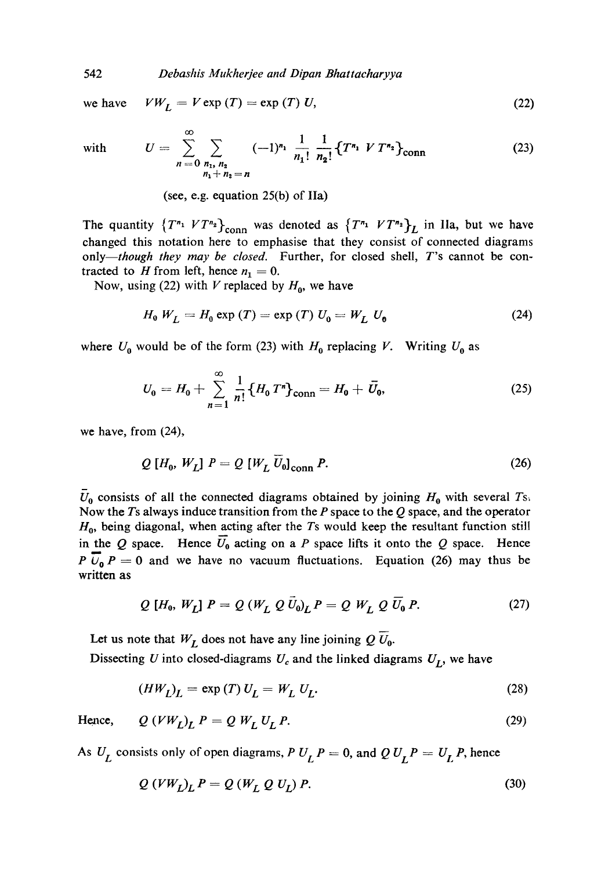*Debashis Mukherjee and Dipan Bhattacharyya* 

we have

 $\infty$ 

$$
VW_L = V \exp(T) = \exp(T) U, \qquad (22)
$$

with 
$$
U = \sum_{n=0}^{\infty} \sum_{\substack{n_1, n_2 \ n_1 + n_2 = n}} (-1)^{n_1} \frac{1}{n_1!} \frac{1}{n_2!} \{T^{n_1} V T^{n_2}\}_{\text{conn}}
$$
 (23)

(see, e.g. equation 25(b) of IIa)

The quantity  $\{T^{n_1} V T^{n_2}\}_{\text{conn}}$  was denoted as  $\{T^{n_1} V T^{n_2}\}_L$  in IIa, but we have changed this notation here to emphasise that they consist of connected diagrams *only--though they may be closed.* Further, for closed shell, T's cannot be contracted to H from left, hence  $n_1 = 0$ .

Now, using (22) with V replaced by  $H_0$ , we have

$$
H_0 W_L = H_0 \exp(T) = \exp(T) U_0 = W_L U_0 \tag{24}
$$

where  $U_0$  would be of the form (23) with  $H_0$  replacing V. Writing  $U_0$  as

$$
U_0 = H_0 + \sum_{n=1}^{\infty} \frac{1}{n!} \{ H_0 T^n \}_{conn} = H_0 + \bar{U}_0,
$$
 (25)

we have, from (24),

$$
Q[H_0, W_L] P = Q[W_L U_0]_{\text{conn}} P.
$$
\n(26)

 $U_0$  consists of all the connected diagrams obtained by joining  $H_0$  with several Ts. Now the Ts always induce transition from the P space to the Q space, and the operator  $H<sub>0</sub>$ , being diagonal, when acting after the Ts would keep the resultant function still in the Q space. Hence  $\overline{U}_0$  acting on a P space lifts it onto the Q space. Hence P  $\overline{U}_0$  P = 0 and we have no vacuum fluctuations. Equation (26) may thus be written as

$$
Q[H_0, W_L] P = Q(W_L Q U_0)_L P = Q W_L Q U_0 P.
$$
 (27)

Let us note that  $W_L$  does not have any line joining  $Q \, \overline{U}_0$ .

Dissecting U into closed-diagrams  $U_c$  and the linked diagrams  $U_L$ , we have

$$
(HW_L)_L = \exp(T) U_L = W_L U_L. \tag{28}
$$

Hence, 
$$
Q(VW_L)_L P = QW_L U_L P.
$$
 (29)

As  $U_L$  consists only of open diagrams,  $P U_L P = 0$ , and  $Q U_L P = U_L P$ , hence

$$
Q(VW_L)_L P = Q(W_L Q U_L) P.
$$
\n(30)

542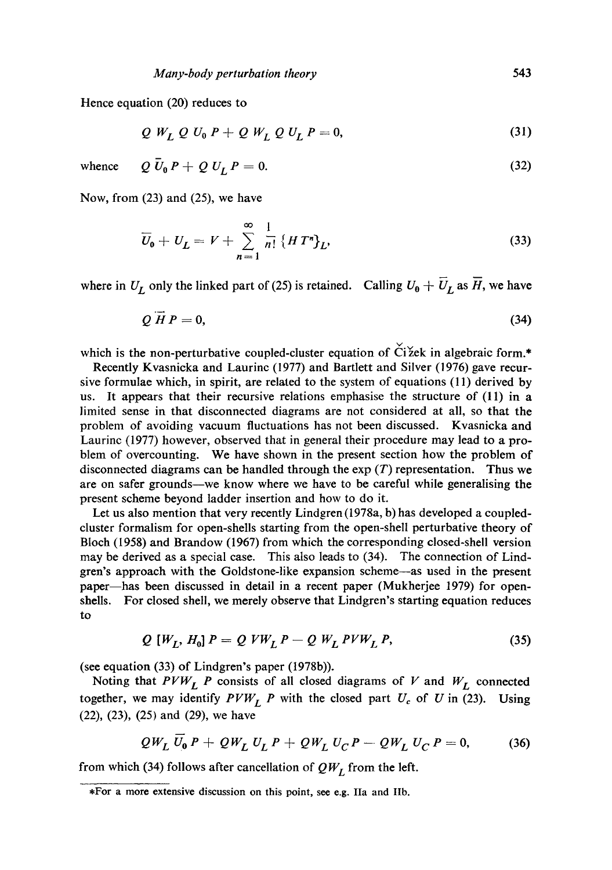Hence equation (20) reduces to

$$
Q W_L Q U_0 P + Q W_L Q U_L P = 0,
$$
\n(31)

whence  $Q \bar{U}_0 P + Q U_I P = 0.$  (32)

Now, from (23) and (25), we have

$$
\overline{U}_0 + U_L = V + \sum_{n=1}^{\infty} \frac{1}{n!} \left\{ H T^n \right\} L,
$$
\n(33)

where in  $U_L$  only the linked part of (25) is retained. Calling  $U_0 + \overline{U}_L$  as  $\overline{H}$ , we have

$$
Q \overrightarrow{H} P = 0, \tag{34}
$$

which is the non-perturbative coupled-cluster equation of  $\check{C}$ i žek in algebraic form.\*

Recently Kvasnicka and Laurinc (1977) and Bartlett and Silver (1976) gave recursive formulae which, in spirit, are related to the system of equations (11) derived by us. It appears that their recursive relations emphasise the structure of  $(11)$  in a limited sense in that disconnected diagrams are not considered at all, so that the problem of avoiding vacuum fluctuations has not been discussed. Kvasnicka and Laurinc (1977) however, observed that in general their procedure may lead to a problem of overcounting. We have shown in the present section how the problem of disconnected diagrams can be handled through the  $exp(T)$  representation. Thus we are on safer grounds—we know where we have to be careful while generalising the present scheme beyond ladder insertion and how to do it.

Let us also mention that very recently Lindgren (1978a, b) has developed a coupledcluster formalism for open-shells starting from the open-shell perturbative theory of Bloch (1958) and Brandow (1967) from which the corresponding closed-shell version may be derived as a special case. This also leads to (34). The connection of Lindgren's approach with the Goldstone-like expansion scheme--as used in the present paper--has been discussed in detail in a recent paper (Mukherjee 1979) for openshells. For closed shell, we merely observe that Lindgren's starting equation reduces to

$$
Q[W_L, H_0]P = QVW_LP - QW_LPVW_LP,
$$
\n(35)

(see equation (33) of Lindgren's paper (1978b)).

Noting that  $PVW_L$  P consists of all closed diagrams of V and  $W_L$  connected together, we may identify  $PVW_L$  P with the closed part  $U_c$  of U in (23). Using (22), (23), (25) and (29), we have

$$
QW_L U_0 P + QW_L U_L P + QW_L U_C P - QW_L U_C P = 0,
$$
 (36)

from which (34) follows after cancellation of  $QW_L$  from the left.

<sup>,</sup>For a more extensive discussion on this point, see e.g. IIa and IIb.